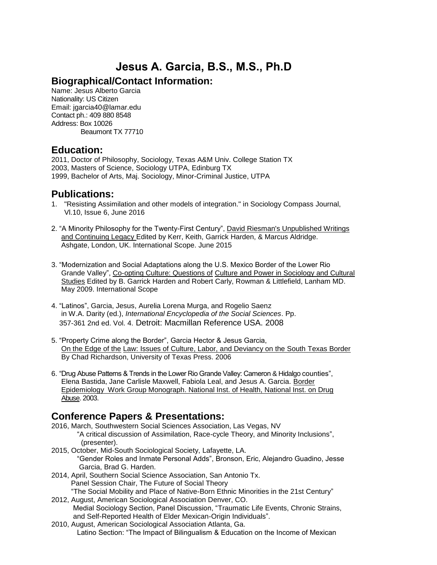# **Jesus A. Garcia, B.S., M.S., Ph.D**

### **Biographical/Contact Information:**

Name: Jesus Alberto Garcia Nationality: US Citizen Email: jgarcia40@lamar.edu Contact ph.: 409 880 8548 Address: Box 10026 Beaumont TX 77710

### **Education:**

2011, Doctor of Philosophy, Sociology, Texas A&M Univ. College Station TX 2003, Masters of Science, Sociology UTPA, Edinburg TX 1999, Bachelor of Arts, Maj. Sociology, Minor-Criminal Justice, UTPA

### **Publications:**

- 1. "Resisting Assimilation and other models of integration." in Sociology Compass Journal, Vl.10, Issue 6, June 2016
- 2. "A Minority Philosophy for the Twenty-First Century", David Riesman's Unpublished Writings and Continuing Legacy Edited by Kerr, Keith, Garrick Harden, & Marcus Aldridge. Ashgate, London, UK. International Scope. June 2015
- 3. "Modernization and Social Adaptations along the U.S. Mexico Border of the Lower Rio Grande Valley", Co-opting Culture: Questions of Culture and Power in Sociology and Cultural Studies Edited by B. Garrick Harden and Robert Carly, Rowman & Littlefield, Lanham MD. May 2009. International Scope
- 4. "Latinos", Garcia, Jesus, Aurelia Lorena Murga, and Rogelio Saenz in W.A. Darity (ed.), *International Encyclopedia of the Social Sciences*. Pp. 357-361 2nd ed. Vol. 4. Detroit: Macmillan Reference USA. 2008
- 5. "Property Crime along the Border", Garcia Hector & Jesus Garcia, On the Edge of the Law: Issues of Culture, Labor, and Deviancy on the South Texas Border By Chad Richardson, University of Texas Press. 2006
- 6. "Drug Abuse Patterns & Trends in the Lower Rio Grande Valley: Cameron & Hidalgo counties", Elena Bastida, Jane Carlisle Maxwell, Fabiola Leal, and Jesus A. Garcia. Border Epidemiology Work Group Monograph. National Inst. of Health, National Inst. on Drug Abuse. 2003.

### **Conference Papers & Presentations:**

- 2016, March, Southwestern Social Sciences Association, Las Vegas, NV "A critical discussion of Assimilation, Race-cycle Theory, and Minority Inclusions", (presenter).
- 2015, October, Mid-South Sociological Society, Lafayette, LA. "Gender Roles and Inmate Personal Adds", Bronson, Eric, Alejandro Guadino, Jesse Garcia, Brad G. Harden.
- 2014, April, Southern Social Science Association, San Antonio Tx. Panel Session Chair, The Future of Social Theory "The Social Mobility and Place of Native-Born Ethnic Minorities in the 21st Century"
- 2012, August, American Sociological Association Denver, CO. Medial Sociology Section, Panel Discussion, "Traumatic Life Events, Chronic Strains, and Self-Reported Health of Elder Mexican-Origin Individuals".
- 2010, August, American Sociological Association Atlanta, Ga. Latino Section: "The Impact of Bilingualism & Education on the Income of Mexican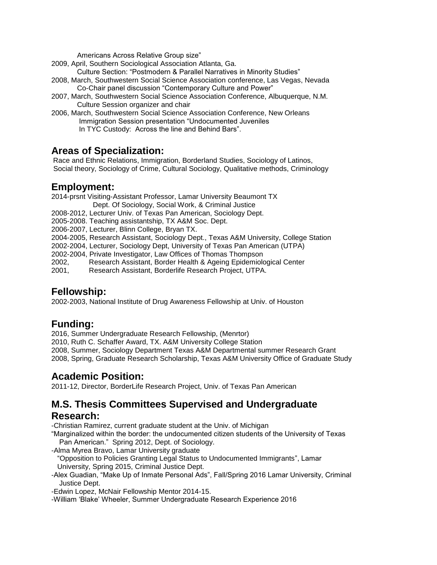Americans Across Relative Group size"

2009, April, Southern Sociological Association Atlanta, Ga.

Culture Section: "Postmodern & Parallel Narratives in Minority Studies"

- 2008, March, Southwestern Social Science Association conference, Las Vegas, Nevada Co-Chair panel discussion "Contemporary Culture and Power"
- 2007, March, Southwestern Social Science Association Conference, Albuquerque, N.M. Culture Session organizer and chair
- 2006, March, Southwestern Social Science Association Conference, New Orleans Immigration Session presentation "Undocumented Juveniles In TYC Custody: Across the line and Behind Bars".

### **Areas of Specialization:**

Race and Ethnic Relations, Immigration, Borderland Studies, Sociology of Latinos, Social theory, Sociology of Crime, Cultural Sociology, Qualitative methods, Criminology

### **Employment:**

2014-prsnt Visiting-Assistant Professor, Lamar University Beaumont TX Dept. Of Sociology, Social Work, & Criminal Justice

- 2008-2012, Lecturer Univ. of Texas Pan American, Sociology Dept.
- 2005-2008. Teaching assistantship, TX A&M Soc. Dept.
- 2006-2007, Lecturer, Blinn College, Bryan TX.
- 2004-2005, Research Assistant, Sociology Dept., Texas A&M University, College Station
- 2002-2004, Lecturer, Sociology Dept, University of Texas Pan American (UTPA)
- 2002-2004, Private Investigator, Law Offices of Thomas Thompson
- 2002, Research Assistant, Border Health & Ageing Epidemiological Center
- 2001, Research Assistant, Borderlife Research Project, UTPA.

### **Fellowship:**

2002-2003, National Institute of Drug Awareness Fellowship at Univ. of Houston

## **Funding:**

2016, Summer Undergraduate Research Fellowship, (Menrtor)

2010, Ruth C. Schaffer Award, TX. A&M University College Station

2008, Summer, Sociology Department Texas A&M Departmental summer Research Grant

2008, Spring, Graduate Research Scholarship, Texas A&M University Office of Graduate Study

### **Academic Position:**

2011-12, Director, BorderLife Research Project, Univ. of Texas Pan American

## **M.S. Thesis Committees Supervised and Undergraduate**

#### **Research:**

-Christian Ramirez, current graduate student at the Univ. of Michigan

"Marginalized within the border: the undocumented citizen students of the University of Texas Pan American." Spring 2012, Dept. of Sociology.

-Alma Myrea Bravo, Lamar University graduate

 "Opposition to Policies Granting Legal Status to Undocumented Immigrants", Lamar University, Spring 2015, Criminal Justice Dept.

-Alex Guadian, "Make Up of Inmate Personal Ads", Fall/Spring 2016 Lamar University, Criminal Justice Dept.

-Edwin Lopez, McNair Fellowship Mentor 2014-15.

-William 'Blake' Wheeler, Summer Undergraduate Research Experience 2016